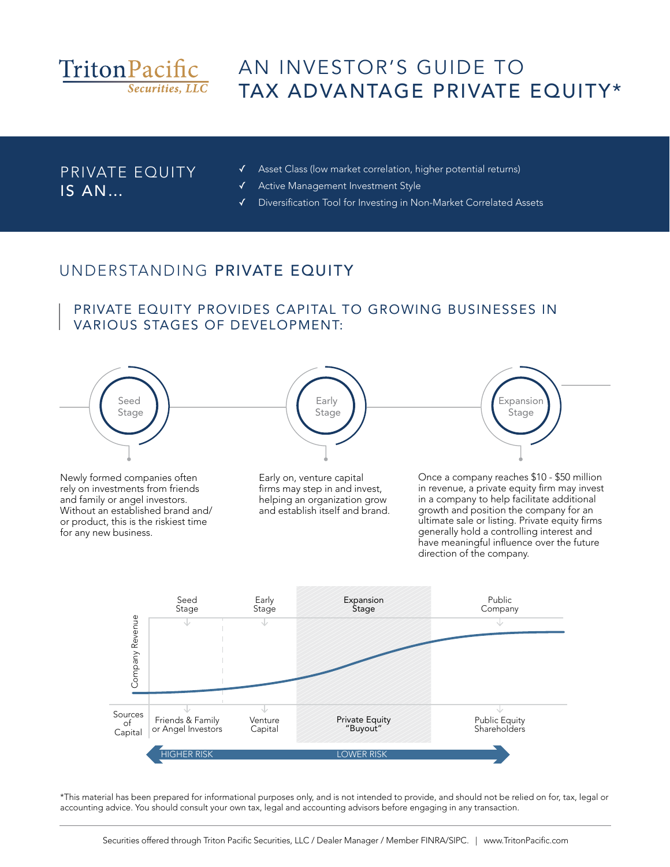

# AN INVESTOR'S GUIDE TO TAX ADVANTAGE PRIVATE EQUITY\*

#### PRIVATE EQUITY IS AN…

- ✓ Asset Class (low market correlation, higher potential returns)
- ✓ Active Management Investment Style
- ✓ Diversification Tool for Investing in Non-Market Correlated Assets

# UNDERSTANDING PRIVATE EQUITY

#### PRIVATE EQUITY PROVIDES CAPITAL TO GROWING BUSINESSES IN VARIOUS STAGES OF DEVELOPMENT:



Newly formed companies often rely on investments from friends and family or angel investors. Without an established brand and/ or product, this is the riskiest time for any new business.

Early on, venture capital firms may step in and invest, helping an organization grow and establish itself and brand.



Once a company reaches \$10 - \$50 million in revenue, a private equity firm may invest in a company to help facilitate additional growth and position the company for an ultimate sale or listing. Private equity firms generally hold a controlling interest and have meaningful influence over the future direction of the company.



\*This material has been prepared for informational purposes only, and is not intended to provide, and should not be relied on for, tax, legal or accounting advice. You should consult your own tax, legal and accounting advisors before engaging in any transaction.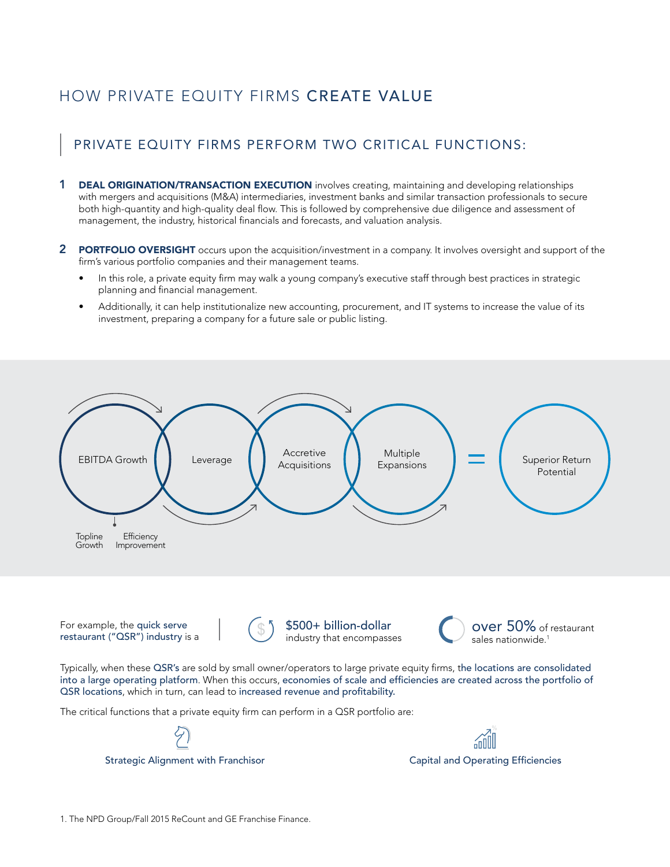# HOW PRIVATE EQUITY FIRMS CREATE VALUE

#### PRIVATE EQUITY FIRMS PERFORM TWO CRITICAL FUNCTIONS:

- **1 DEAL ORIGINATION/TRANSACTION EXECUTION** involves creating, maintaining and developing relationships with mergers and acquisitions (M&A) intermediaries, investment banks and similar transaction professionals to secure both high-quantity and high-quality deal flow. This is followed by comprehensive due diligence and assessment of management, the industry, historical financials and forecasts, and valuation analysis.
- 2 PORTFOLIO OVERSIGHT occurs upon the acquisition/investment in a company. It involves oversight and support of the firm's various portfolio companies and their management teams.
	- In this role, a private equity firm may walk a young company's executive staff through best practices in strategic planning and financial management.
	- Additionally, it can help institutionalize new accounting, procurement, and IT systems to increase the value of its investment, preparing a company for a future sale or public listing.



For example, the quick serve restaurant ("QSR") industry is a



\$500+ billion-dollar \$300+ billion-dollar over 50% of industry that encompasses



Typically, when these QSR's are sold by small owner/operators to large private equity firms, the locations are consolidated into a large operating platform. When this occurs, economies of scale and efficiencies are created across the portfolio of QSR locations, which in turn, can lead to increased revenue and profitability.

The critical functions that a private equity firm can perform in a QSR portfolio are:



Strategic Alignment with Franchisor **Capital and Operating Efficiencies** Capital and Operating Efficiencies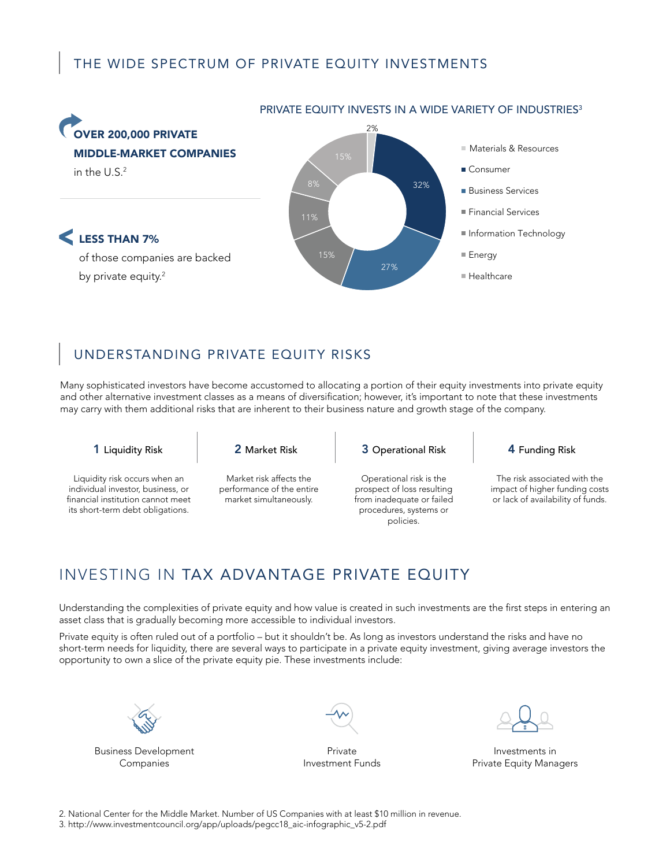### THE WIDE SPECTRUM OF PRIVATE EQUITY INVESTMENTS



### UNDERSTANDING PRIVATE EQUITY RISKS

Many sophisticated investors have become accustomed to allocating a portion of their equity investments into private equity and other alternative investment classes as a means of diversification; however, it's important to note that these investments may carry with them additional risks that are inherent to their business nature and growth stage of the company.

Liquidity risk occurs when an individual investor, business, or financial institution cannot meet its short-term debt obligations.

Market risk affects the performance of the entire market simultaneously.

1 Liquidity Risk 2 Market Risk 3 Operational Risk 4 Funding Risk

Operational risk is the prospect of loss resulting from inadequate or failed procedures, systems or policies.

The risk associated with the impact of higher funding costs or lack of availability of funds.

# INVESTING IN TAX ADVANTAGE PRIVATE EQUITY

Understanding the complexities of private equity and how value is created in such investments are the first steps in entering an asset class that is gradually becoming more accessible to individual investors.

Private equity is often ruled out of a portfolio – but it shouldn't be. As long as investors understand the risks and have no short-term needs for liquidity, there are several ways to participate in a private equity investment, giving average investors the opportunity to own a slice of the private equity pie. These investments include:



Business Development Companies



Private Investment Funds

Investments in Private Equity Managers

2. National Center for the Middle Market. Number of US Companies with at least \$10 million in revenue.

3. http://www.investmentcouncil.org/app/uploads/pegcc18\_aic-infographic\_v5-2.pdf